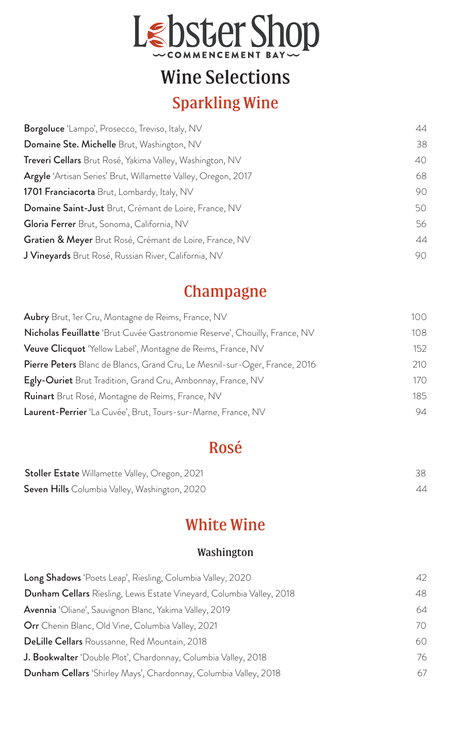

# Wine Selections

## Sparkling Wine

| Borgoluce 'Lampo', Prosecco, Treviso, Italy, NV               | 44 |
|---------------------------------------------------------------|----|
| Domaine Ste. Michelle Brut, Washington, NV                    | 38 |
| Treveri Cellars Brut Rosé, Yakima Valley, Washington, NV      | 40 |
| Argyle 'Artisan Series' Brut, Willamette Valley, Oregon, 2017 | 68 |
| <b>1701 Franciacorta</b> Brut, Lombardy, Italy, NV            | 90 |
| Domaine Saint-Just Brut, Crémant de Loire, France, NV         | 50 |
| Gloria Ferrer Brut, Sonoma, California, NV                    | 56 |
| Gratien & Meyer Brut Rosé, Crémant de Loire, France, NV       | 44 |
| J Vineyards Brut Rosé, Russian River, California, NV          | 90 |

## Champagne

| 100 |
|-----|
| 108 |
| 152 |
| 210 |
| 170 |
| 185 |
| 94  |
|     |

## Rosé

| <b>Stoller Estate</b> Willamette Valley, Oregon, 2021 |    |
|-------------------------------------------------------|----|
| <b>Seven Hills</b> Columbia Valley, Washington, 2020  | 44 |

## White Wine

### Washington

| Long Shadows 'Poets Leap', Riesling, Columbia Valley, 2020                   | 42 |
|------------------------------------------------------------------------------|----|
| <b>Dunham Cellars</b> Riesling, Lewis Estate Vineyard, Columbia Valley, 2018 | 48 |
| Avennia 'Oliane', Sauvignon Blanc, Yakima Valley, 2019                       | 64 |
| <b>Orr</b> Chenin Blanc, Old Vine, Columbia Valley, 2021                     | 70 |
| <b>DeLille Cellars</b> Roussanne, Red Mountain, 2018                         | 60 |
| J. Bookwalter 'Double Plot', Chardonnay, Columbia Valley, 2018               | 76 |
| <b>Dunham Cellars</b> 'Shirley Mays', Chardonnay, Columbia Valley, 2018      | 67 |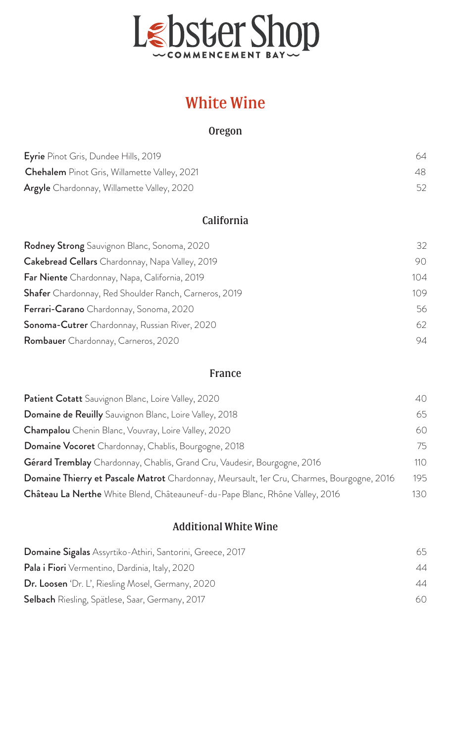

## White Wine

#### Oregon

| <b>Eyrie</b> Pinot Gris, Dundee Hills, 2019         | 64 |
|-----------------------------------------------------|----|
| <b>Chehalem</b> Pinot Gris, Willamette Valley, 2021 | 48 |
| Argyle Chardonnay, Willamette Valley, 2020          | 52 |

### California

| <b>Rodney Strong</b> Sauvignon Blanc, Sonoma, 2020    | 32  |
|-------------------------------------------------------|-----|
| Cakebread Cellars Chardonnay, Napa Valley, 2019       | 90  |
| Far Niente Chardonnay, Napa, California, 2019         | 104 |
| Shafer Chardonnay, Red Shoulder Ranch, Carneros, 2019 | 109 |
| Ferrari-Carano Chardonnay, Sonoma, 2020               | 56  |
| Sonoma-Cutrer Chardonnay, Russian River, 2020         | 62  |
| <b>Rombauer</b> Chardonnay, Carneros, 2020            | 94  |

#### France

| Patient Cotatt Sauvignon Blanc, Loire Valley, 2020                                         | 40  |
|--------------------------------------------------------------------------------------------|-----|
| <b>Domaine de Reuilly</b> Sauvignon Blanc, Loire Valley, 2018                              | 65  |
| Champalou Chenin Blanc, Vouvray, Loire Valley, 2020                                        | 60  |
| Domaine Vocoret Chardonnay, Chablis, Bourgogne, 2018                                       | 75  |
| Gérard Tremblay Chardonnay, Chablis, Grand Cru, Vaudesir, Bourgogne, 2016                  | 110 |
| Domaine Thierry et Pascale Matrot Chardonnay, Meursault, 1er Cru, Charmes, Bourgogne, 2016 | 195 |
| Château La Nerthe White Blend, Châteauneuf-du-Pape Blanc, Rhône Valley, 2016               | 130 |

#### Additional White Wine

| Domaine Sigalas Assyrtiko-Athiri, Santorini, Greece, 2017 | 65 |
|-----------------------------------------------------------|----|
| <b>Pala i Fiori</b> Vermentino, Dardinia, Italy, 2020     | 44 |
| <b>Dr. Loosen</b> 'Dr. L', Riesling Mosel, Germany, 2020  | 44 |
| <b>Selbach</b> Riesling, Spätlese, Saar, Germany, 2017    | 60 |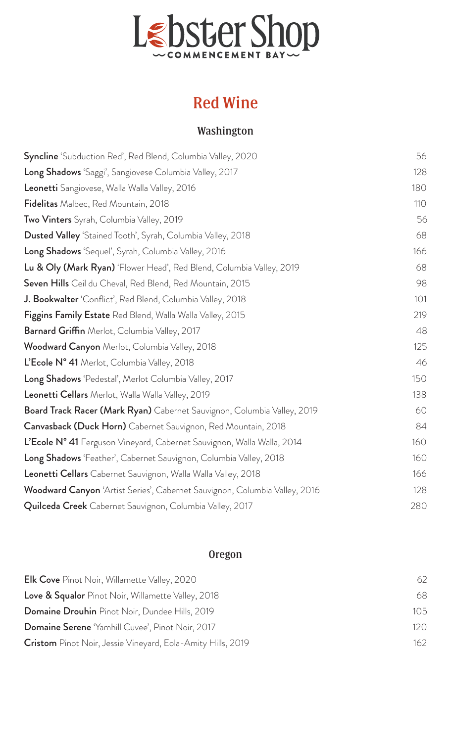

## Red Wine

### Washington

| Syncline 'Subduction Red', Red Blend, Columbia Valley, 2020                | 56  |
|----------------------------------------------------------------------------|-----|
| Long Shadows 'Saggi', Sangiovese Columbia Valley, 2017                     | 128 |
| Leonetti Sangiovese, Walla Walla Valley, 2016                              | 180 |
| Fidelitas Malbec, Red Mountain, 2018                                       | 110 |
| Two Vinters Syrah, Columbia Valley, 2019                                   | 56  |
| Dusted Valley 'Stained Tooth', Syrah, Columbia Valley, 2018                | 68  |
| Long Shadows 'Sequel', Syrah, Columbia Valley, 2016                        | 166 |
| Lu & Oly (Mark Ryan) 'Flower Head', Red Blend, Columbia Valley, 2019       | 68  |
| Seven Hills Ceil du Cheval, Red Blend, Red Mountain, 2015                  | 98  |
| J. Bookwalter 'Conflict', Red Blend, Columbia Valley, 2018                 | 101 |
| Figgins Family Estate Red Blend, Walla Walla Valley, 2015                  | 219 |
| Barnard Griffin Merlot, Columbia Valley, 2017                              | 48  |
| Woodward Canyon Merlot, Columbia Valley, 2018                              | 125 |
| L'Ecole N° 41 Merlot, Columbia Valley, 2018                                | 46  |
| Long Shadows 'Pedestal', Merlot Columbia Valley, 2017                      | 150 |
| Leonetti Cellars Merlot, Walla Walla Valley, 2019                          | 138 |
| Board Track Racer (Mark Ryan) Cabernet Sauvignon, Columbia Valley, 2019    | 60  |
| <b>Canvasback (Duck Horn)</b> Cabernet Sauvignon, Red Mountain, 2018       | 84  |
| L'Ecole N° 41 Ferguson Vineyard, Cabernet Sauvignon, Walla Walla, 2014     | 160 |
| Long Shadows 'Feather', Cabernet Sauvignon, Columbia Valley, 2018          | 160 |
| Leonetti Cellars Cabernet Sauvignon, Walla Walla Valley, 2018              | 166 |
| Woodward Canyon 'Artist Series', Cabernet Sauvignon, Columbia Valley, 2016 | 128 |
| <b>Quilceda Creek</b> Cabernet Sauvignon, Columbia Valley, 2017            | 280 |

### Oregon

| <b>Elk Cove</b> Pinot Noir, Willamette Valley, 2020                | 62  |
|--------------------------------------------------------------------|-----|
| <b>Love &amp; Squalor</b> Pinot Noir, Willamette Valley, 2018      | 68  |
| <b>Domaine Drouhin</b> Pinot Noir, Dundee Hills, 2019              | 105 |
| <b>Domaine Serene</b> 'Yamhill Cuvee', Pinot Noir, 2017            | 120 |
| <b>Cristom</b> Pinot Noir, Jessie Vineyard, Eola-Amity Hills, 2019 | 162 |